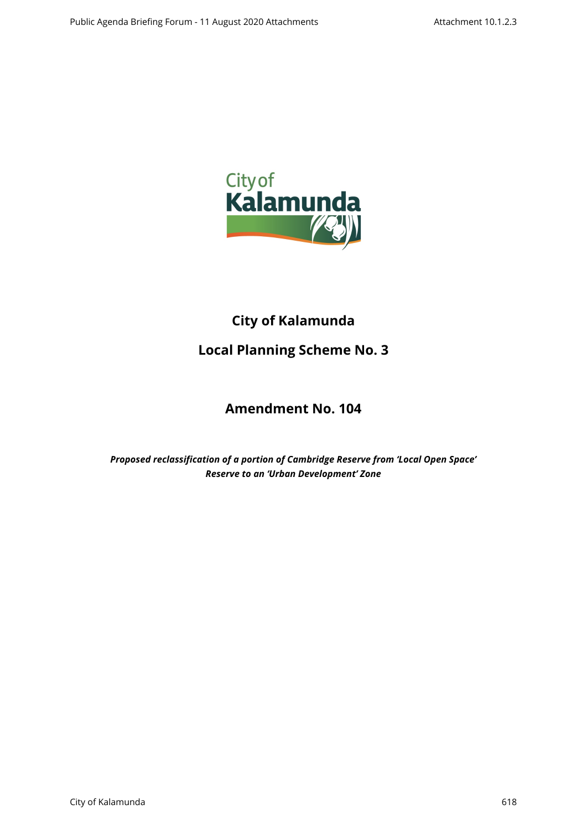

# **City of Kalamunda**

# **Local Planning Scheme No. 3**

# **Amendment No. 104**

*Proposed reclassification of a portion of Cambridge Reserve from 'Local Open Space' Reserve to an 'Urban Development' Zone*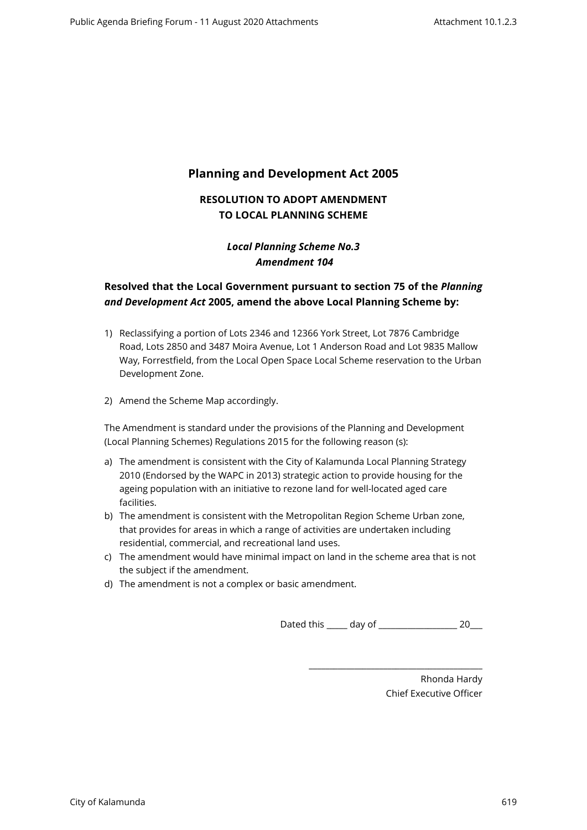# **Planning and Development Act 2005**

## **RESOLUTION TO ADOPT AMENDMENT TO LOCAL PLANNING SCHEME**

## *Local Planning Scheme No.3 Amendment 104*

## **Resolved that the Local Government pursuant to section 75 of the** *Planning and Development Act* **2005, amend the above Local Planning Scheme by:**

- 1) Reclassifying a portion of Lots 2346 and 12366 York Street, Lot 7876 Cambridge Road, Lots 2850 and 3487 Moira Avenue, Lot 1 Anderson Road and Lot 9835 Mallow Way, Forrestfield, from the Local Open Space Local Scheme reservation to the Urban Development Zone.
- 2) Amend the Scheme Map accordingly.

The Amendment is standard under the provisions of the Planning and Development (Local Planning Schemes) Regulations 2015 for the following reason (s):

- a) The amendment is consistent with the City of Kalamunda Local Planning Strategy 2010 (Endorsed by the WAPC in 2013) strategic action to provide housing for the ageing population with an initiative to rezone land for well-located aged care facilities.
- b) The amendment is consistent with the Metropolitan Region Scheme Urban zone, that provides for areas in which a range of activities are undertaken including residential, commercial, and recreational land uses.
- c) The amendment would have minimal impact on land in the scheme area that is not the subject if the amendment.
- d) The amendment is not a complex or basic amendment.

Dated this \_\_\_\_\_ day of \_\_\_\_\_\_\_\_\_\_\_\_\_\_\_\_\_\_\_ 20\_\_\_

\_\_\_\_\_\_\_\_\_\_\_\_\_\_\_\_\_\_\_\_\_\_\_\_\_\_\_\_\_\_\_\_\_\_\_\_\_\_\_\_\_\_

Rhonda Hardy Chief Executive Officer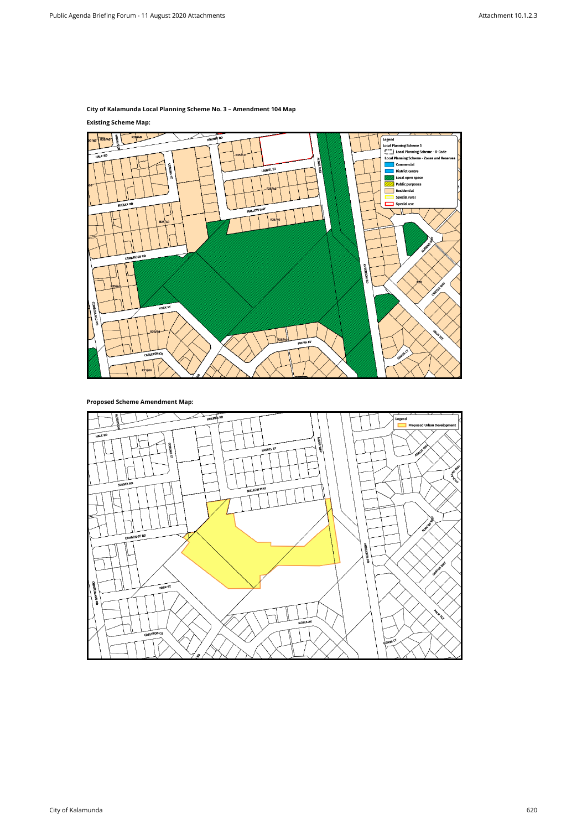## **City of Kalamunda Local Planning Scheme No. 3 – Amendment 104 Map**

## **Existing Scheme Map:**



**Proposed Scheme Amendment Map:**

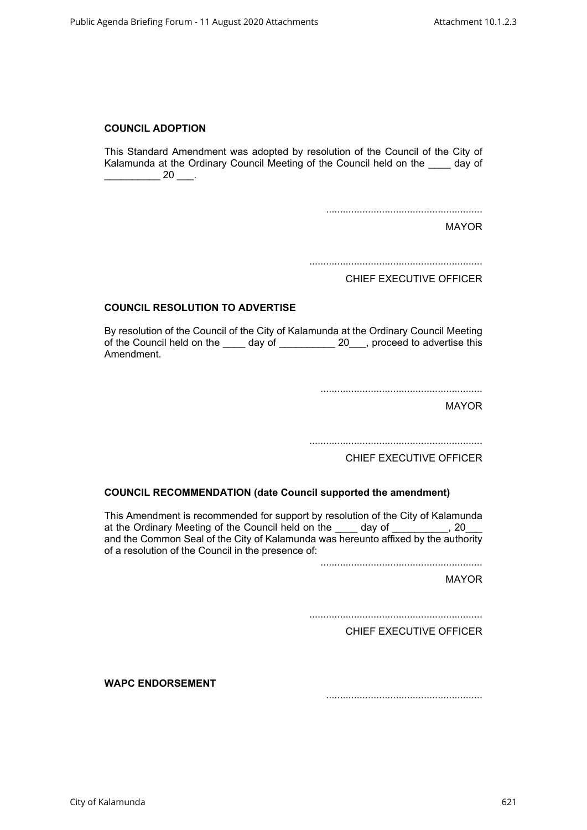### **COUNCIL ADOPTION**

This Standard Amendment was adopted by resolution of the Council of the City of Kalamunda at the Ordinary Council Meeting of the Council held on the \_\_\_\_ day of  $\frac{1}{20}$  20  $\frac{1}{20}$ .

........................................................

MAYOR

..............................................................

CHIEF EXECUTIVE OFFICER

### **COUNCIL RESOLUTION TO ADVERTISE**

By resolution of the Council of the City of Kalamunda at the Ordinary Council Meeting of the Council held on the day of 20 proceed to advertise this Amendment.

..........................................................

MAYOR

..............................................................

CHIEF EXECUTIVE OFFICER

### **COUNCIL RECOMMENDATION (date Council supported the amendment)**

This Amendment is recommended for support by resolution of the City of Kalamunda at the Ordinary Meeting of the Council held on the \_\_\_\_ day of \_\_\_\_\_\_\_\_\_, 20 and the Common Seal of the City of Kalamunda was hereunto affixed by the authority of a resolution of the Council in the presence of:

..........................................................

MAYOR

..............................................................

CHIEF EXECUTIVE OFFICER

**WAPC ENDORSEMENT** 

........................................................